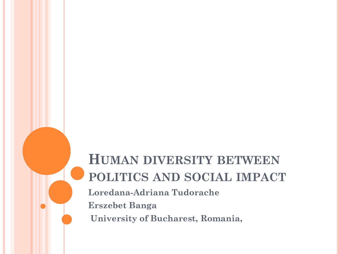## **HUMAN DIVERSITY BETWEEN POLITICS AND SOCIAL IMPACT**

**Loredana-Adriana Tudorache Erszebet Banga**

**University of Bucharest, Romania,**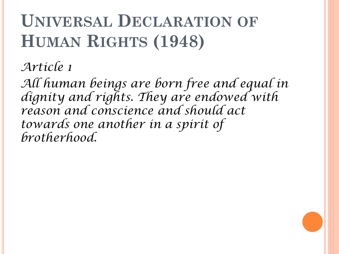# **UNIVERSAL DECLARATION OF HUMAN RIGHTS (1948)**

*Article 1*

*All human beings are born free and equal in dignity and rights. They are endowed with reason and conscience and should act towards one another in a spirit of brotherhood.*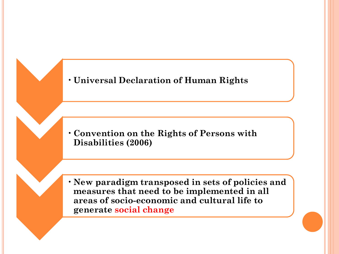

•**Convention on the Rights of Persons with Disabilities (2006)**

• **New paradigm transposed in sets of policies and measures that need to be implemented in all areas of socio-economic and cultural life to generate social change**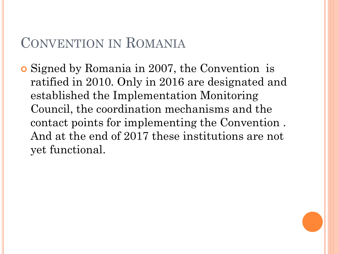#### CONVENTION IN ROMANIA

 Signed by Romania in 2007, the Convention is ratified in 2010. Only in 2016 are designated and established the Implementation Monitoring Council, the coordination mechanisms and the contact points for implementing the Convention . And at the end of 2017 these institutions are not yet functional.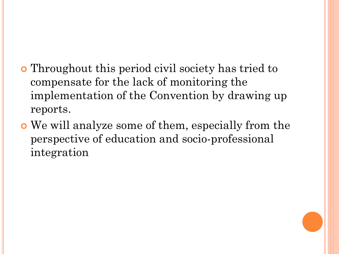- Throughout this period civil society has tried to compensate for the lack of monitoring the implementation of the Convention by drawing up reports.
- We will analyze some of them, especially from the perspective of education and socio-professional integration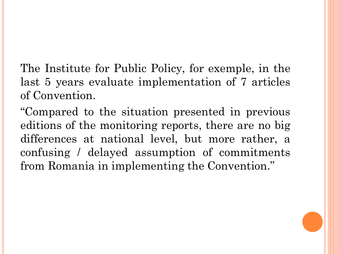The Institute for Public Policy, for exemple, in the last 5 years evaluate implementation of 7 articles of Convention.

"Compared to the situation presented in previous editions of the monitoring reports, there are no big differences at national level, but more rather, a confusing / delayed assumption of commitments from Romania in implementing the Convention."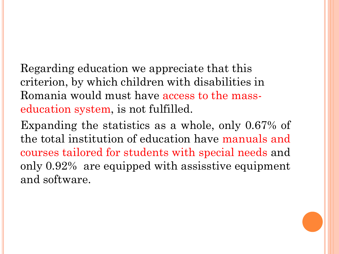Regarding education we appreciate that this criterion, by which children with disabilities in Romania would must have access to the masseducation system, is not fulfilled.

Expanding the statistics as a whole, only 0.67% of the total institution of education have manuals and courses tailored for students with special needs and only 0.92% are equipped with assisstive equipment and software.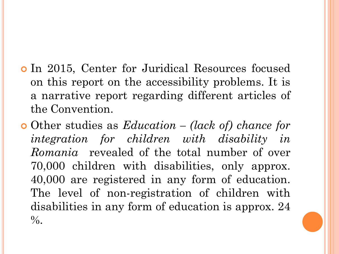- In 2015, Center for Juridical Resources focused on this report on the accessibility problems. It is a narrative report regarding different articles of the Convention.
- Other studies as *Education – (lack of) chance for integration for children with disability in Romania* revealed of the total number of over 70,000 children with disabilities, only approx. 40,000 are registered in any form of education. The level of non-registration of children with disabilities in any form of education is approx. 24  $\%$ .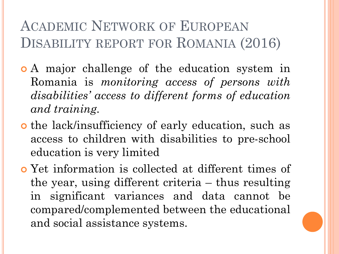### ACADEMIC NETWORK OF EUROPEAN DISABILITY REPORT FOR ROMANIA (2016)

- A major challenge of the education system in Romania is *monitoring access of persons with disabilities' access to different forms of education and training.*
- o the lack/insufficiency of early education, such as access to children with disabilities to pre-school education is very limited
- Yet information is collected at different times of the year, using different criteria – thus resulting in significant variances and data cannot be compared/complemented between the educational and social assistance systems.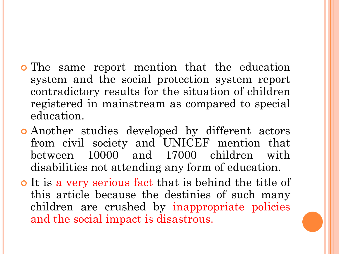- The same report mention that the education system and the social protection system report contradictory results for the situation of children registered in mainstream as compared to special education.
- Another studies developed by different actors from civil society and UNICEF mention that between 10000 and 17000 children with disabilities not attending any form of education.
- o It is a very serious fact that is behind the title of this article because the destinies of such many children are crushed by inappropriate policies and the social impact is disastrous.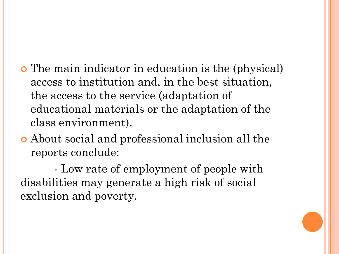- The main indicator in education is the (physical) access to institution and, in the best situation, the access to the service (adaptation of educational materials or the adaptation of the class environment).
- About social and professional inclusion all the reports conclude:

- Low rate of employment of people with disabilities may generate a high risk of social exclusion and poverty.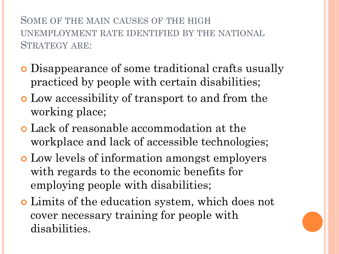SOME OF THE MAIN CAUSES OF THE HIGH UNEMPLOYMENT RATE IDENTIFIED BY THE NATIONAL STRATEGY ARE:

- Disappearance of some traditional crafts usually practiced by people with certain disabilities;
- Low accessibility of transport to and from the working place;
- Lack of reasonable accommodation at the workplace and lack of accessible technologies;
- Low levels of information amongst employers with regards to the economic benefits for employing people with disabilities;
- Limits of the education system, which does not cover necessary training for people with disabilities.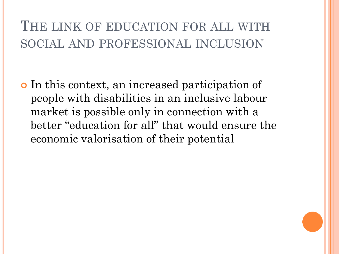THE LINK OF EDUCATION FOR ALL WITH SOCIAL AND PROFESSIONAL INCLUSION

 In this context, an increased participation of people with disabilities in an inclusive labour market is possible only in connection with a better "education for all" that would ensure the economic valorisation of their potential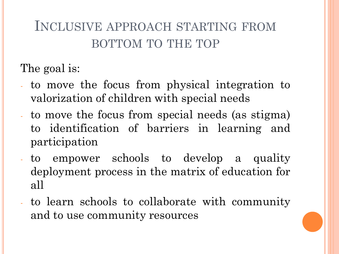#### INCLUSIVE APPROACH STARTING FROM BOTTOM TO THE TOP

The goal is:

- to move the focus from physical integration to valorization of children with special needs
- to move the focus from special needs (as stigma) to identification of barriers in learning and participation
- to empower schools to develop a quality deployment process in the matrix of education for all
- to learn schools to collaborate with community and to use community resources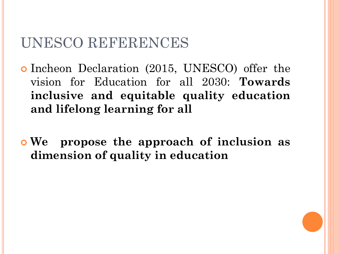#### UNESCO REFERENCES

- Incheon Declaration (2015, UNESCO) offer the vision for Education for all 2030: **Towards inclusive and equitable quality education and lifelong learning for all**
- **We propose the approach of inclusion as dimension of quality in education**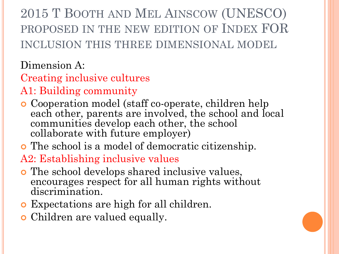2015 T BOOTH AND MEL AINSCOW (UNESCO) PROPOSED IN THE NEW EDITION OF INDEX FOR INCLUSION THIS THREE DIMENSIONAL MODEL

Dimension A:

Creating inclusive cultures

- A1: Building community
- Cooperation model (staff co-operate, children help each other, parents are involved, the school and local communities develop each other, the school collaborate with future employer)
- The school is a model of democratic citizenship.

A2: Establishing inclusive values

- The school develops shared inclusive values, encourages respect for all human rights without discrimination.
- Expectations are high for all children.
- Children are valued equally.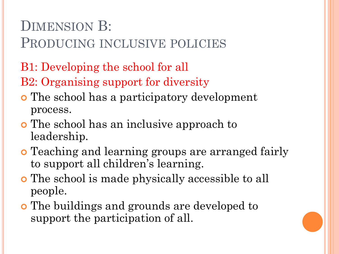## DIMENSION B:

PRODUCING INCLUSIVE POLICIES

B1: Developing the school for all

B2: Organising support for diversity

- The school has a participatory development process.
- The school has an inclusive approach to leadership.
- Teaching and learning groups are arranged fairly to support all children's learning.
- The school is made physically accessible to all people.
- The buildings and grounds are developed to support the participation of all.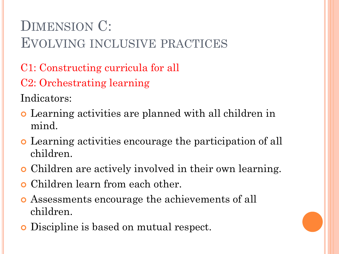## DIMENSION C: EVOLVING INCLUSIVE PRACTICES

- C1: Constructing curricula for all
- C2: Orchestrating learning

Indicators:

- Learning activities are planned with all children in mind.
- Learning activities encourage the participation of all children.
- Children are actively involved in their own learning.
- Children learn from each other.
- Assessments encourage the achievements of all children.
- Discipline is based on mutual respect.